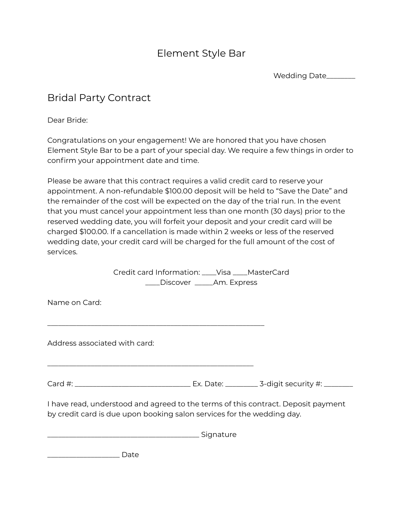# Element Style Bar

Wedding Date\_\_\_\_\_\_\_\_

## Bridal Party Contract

Dear Bride:

Congratulations on your engagement! We are honored that you have chosen Element Style Bar to be a part of your special day. We require a few things in order to confirm your appointment date and time.

Please be aware that this contract requires a valid credit card to reserve your appointment. A non-refundable \$100.00 deposit will be held to "Save the Date" and the remainder of the cost will be expected on the day of the trial run. In the event that you must cancel your appointment less than one month (30 days) prior to the reserved wedding date, you will forfeit your deposit and your credit card will be charged \$100.00. If a cancellation is made within 2 weeks or less of the reserved wedding date, your credit card will be charged for the full amount of the cost of services.

> Credit card Information: \_\_\_\_Visa \_\_\_\_MasterCard \_\_\_\_Discover \_\_\_\_\_Am. Express

Name on Card:

Address associated with card:

Card #: \_\_\_\_\_\_\_\_\_\_\_\_\_\_\_\_\_\_\_\_\_\_\_\_\_\_\_\_\_\_\_\_ Ex. Date: \_\_\_\_\_\_\_\_\_ 3-digit security #: \_\_\_\_\_\_\_\_

I have read, understood and agreed to the terms of this contract. Deposit payment by credit card is due upon booking salon services for the wedding day.

 $\_$  Signature

 $\overline{\phantom{a}}$  , and the contribution of the contribution of the contribution of  $\overline{\phantom{a}}$ 

\_\_\_\_\_\_\_\_\_\_\_\_\_\_\_\_\_\_\_\_\_\_\_\_\_\_\_\_\_\_\_\_\_\_\_\_\_\_\_\_\_\_\_\_\_\_\_\_\_\_\_\_\_\_\_\_\_

 $\Box$  Date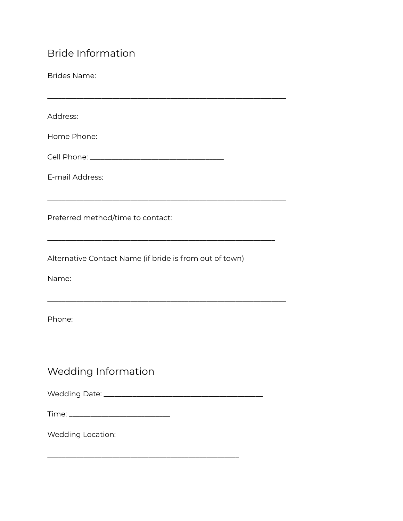# **Bride Information**

| <b>Brides Name:</b>                                              |
|------------------------------------------------------------------|
|                                                                  |
|                                                                  |
|                                                                  |
|                                                                  |
| E-mail Address:                                                  |
| Preferred method/time to contact:                                |
| Alternative Contact Name (if bride is from out of town)<br>Name: |
|                                                                  |
| Phone:                                                           |
| Wedding Information                                              |
|                                                                  |
|                                                                  |
| Wedding Location:                                                |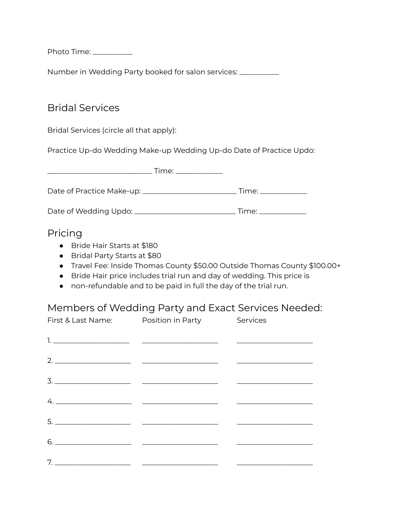Photo Time: \_\_\_\_\_\_\_\_\_\_\_

Number in Wedding Party booked for salon services: \_\_\_\_\_\_\_\_\_\_

### Bridal Services

Bridal Services (circle all that apply):

Practice Up-do Wedding Make-up Wedding Up-do Date of Practice Updo:

|                                                | Time: ____________      |
|------------------------------------------------|-------------------------|
|                                                | _ Time: _______________ |
| Date of Wedding Updo: ________________________ | Time:                   |

#### Pricing

- Bride Hair Starts at \$180
- Bridal Party Starts at \$80
- Travel Fee: Inside Thomas County \$50.00 Outside Thomas County \$100.00+
- Bride Hair price includes trial run and day of wedding. This price is
- non-refundable and to be paid in full the day of the trial run.

#### Members of Wedding Party and Exact Services Needed:

| First & Last Name: Position in Party | Services |
|--------------------------------------|----------|
|                                      |          |
|                                      |          |
|                                      |          |
|                                      |          |
|                                      |          |
| $6. \underline{\hspace{1.5cm}}$      |          |
|                                      |          |